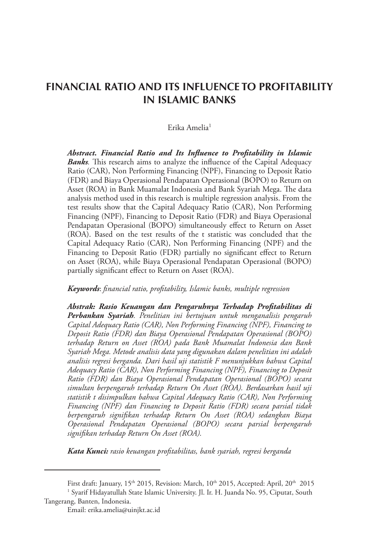# **FINANCIAL RATIO AND ITS INFLUENCE TO PROFITABILITY IN ISLAMIC BANKS**

#### Erika Amelia<sup>1</sup>

*Abstract. Financial Ratio and Its Influence to Profitability in Islamic Banks.* This research aims to analyze the influence of the Capital Adequacy Ratio (CAR), Non Performing Financing (NPF), Financing to Deposit Ratio (FDR) and Biaya Operasional Pendapatan Operasional (BOPO) to Return on Asset (ROA) in Bank Muamalat Indonesia and Bank Syariah Mega. The data analysis method used in this research is multiple regression analysis. From the test results show that the Capital Adequacy Ratio (CAR), Non Performing Financing (NPF), Financing to Deposit Ratio (FDR) and Biaya Operasional Pendapatan Operasional (BOPO) simultaneously effect to Return on Asset (ROA). Based on the test results of the t statistic was concluded that the Capital Adequacy Ratio (CAR), Non Performing Financing (NPF) and the Financing to Deposit Ratio (FDR) partially no significant effect to Return on Asset (ROA), while Biaya Operasional Pendapatan Operasional (BOPO) partially significant effect to Return on Asset (ROA).

#### *Keywords*: *financial ratio, profitability, Islamic banks, multiple regression*

*Abstrak: Rasio Keuangan dan Pengaruhnya Terhadap Profitabilitas di Perbankan Syariah. Penelitian ini bertujuan untuk menganalisis pengaruh Capital Adequacy Ratio (CAR), Non Performing Financing (NPF), Financing to Deposit Ratio (FDR) dan Biaya Operasional Pendapatan Operasional (BOPO) terhadap Return on Asset (ROA) pada Bank Muamalat Indonesia dan Bank Syariah Mega. Metode analisis data yang digunakan dalam penelitian ini adalah analisis regresi berganda. Dari hasil uji statistik F menunjukkan bahwa Capital Adequacy Ratio (CAR), Non Performing Financing (NPF), Financing to Deposit Ratio (FDR) dan Biaya Operasional Pendapatan Operasional (BOPO) secara simultan berpengaruh terhadap Return On Asset (ROA). Berdasarkan hasil uji statistik t disimpulkan bahwa Capital Adequacy Ratio (CAR), Non Performing Financing (NPF) dan Financing to Deposit Ratio (FDR) secara parsial tidak berpengaruh signifikan terhadap Return On Asset (ROA) sedangkan Biaya Operasional Pendapatan Operasional (BOPO) secara parsial berpengaruh signifikan terhadap Return On Asset (ROA).*

*Kata Kunci: rasio keuangan profitabilitas, bank syariah, regresi berganda*

First draft: January, 15<sup>th</sup> 2015, Revision: March, 10<sup>th</sup> 2015, Accepted: April, 20<sup>th</sup> 2015

<sup>1</sup> Syarif Hidayatullah State Islamic University. Jl. Ir. H. Juanda No. 95, Ciputat, South Tangerang, Banten, Indonesia.

Email: erika.amelia@uinjkt.ac.id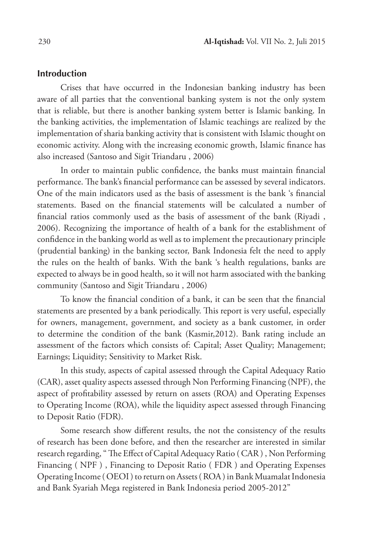#### **Introduction**

Crises that have occurred in the Indonesian banking industry has been aware of all parties that the conventional banking system is not the only system that is reliable, but there is another banking system better is Islamic banking. In the banking activities, the implementation of Islamic teachings are realized by the implementation of sharia banking activity that is consistent with Islamic thought on economic activity. Along with the increasing economic growth, Islamic finance has also increased (Santoso and Sigit Triandaru , 2006)

In order to maintain public confidence, the banks must maintain financial performance. The bank's financial performance can be assessed by several indicators. One of the main indicators used as the basis of assessment is the bank 's financial statements. Based on the financial statements will be calculated a number of financial ratios commonly used as the basis of assessment of the bank (Riyadi , 2006). Recognizing the importance of health of a bank for the establishment of confidence in the banking world as well as to implement the precautionary principle (prudential banking) in the banking sector, Bank Indonesia felt the need to apply the rules on the health of banks. With the bank 's health regulations, banks are expected to always be in good health, so it will not harm associated with the banking community (Santoso and Sigit Triandaru , 2006)

To know the financial condition of a bank, it can be seen that the financial statements are presented by a bank periodically. This report is very useful, especially for owners, management, government, and society as a bank customer, in order to determine the condition of the bank (Kasmir,2012). Bank rating include an assessment of the factors which consists of: Capital; Asset Quality; Management; Earnings; Liquidity; Sensitivity to Market Risk.

In this study, aspects of capital assessed through the Capital Adequacy Ratio (CAR), asset quality aspects assessed through Non Performing Financing (NPF), the aspect of profitability assessed by return on assets (ROA) and Operating Expenses to Operating Income (ROA), while the liquidity aspect assessed through Financing to Deposit Ratio (FDR).

Some research show different results, the not the consistency of the results of research has been done before, and then the researcher are interested in similar research regarding, " The Effect of Capital Adequacy Ratio ( CAR ) , Non Performing Financing ( NPF ) , Financing to Deposit Ratio ( FDR ) and Operating Expenses Operating Income ( OEOI ) to return on Assets ( ROA ) in Bank Muamalat Indonesia and Bank Syariah Mega registered in Bank Indonesia period 2005-2012"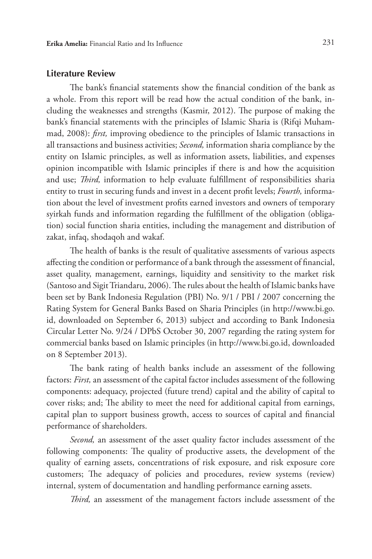# **Literature Review**

The bank's financial statements show the financial condition of the bank as a whole. From this report will be read how the actual condition of the bank, including the weaknesses and strengths (Kasmir, 2012). The purpose of making the bank's financial statements with the principles of Islamic Sharia is (Rifqi Muhammad, 2008): *first,* improving obedience to the principles of Islamic transactions in all transactions and business activities; *Second,* information sharia compliance by the entity on Islamic principles, as well as information assets, liabilities, and expenses opinion incompatible with Islamic principles if there is and how the acquisition and use; *Third,* information to help evaluate fulfillment of responsibilities sharia entity to trust in securing funds and invest in a decent profit levels; *Fourth,* information about the level of investment profits earned investors and owners of temporary syirkah funds and information regarding the fulfillment of the obligation (obligation) social function sharia entities, including the management and distribution of zakat, infaq, shodaqoh and wakaf.

The health of banks is the result of qualitative assessments of various aspects affecting the condition or performance of a bank through the assessment of financial, asset quality, management, earnings, liquidity and sensitivity to the market risk (Santoso and Sigit Triandaru, 2006). The rules about the health of Islamic banks have been set by Bank Indonesia Regulation (PBI) No. 9/1 / PBI / 2007 concerning the Rating System for General Banks Based on Sharia Principles (in http://www.bi.go. id, downloaded on September 6, 2013) subject and according to Bank Indonesia Circular Letter No. 9/24 / DPbS October 30, 2007 regarding the rating system for commercial banks based on Islamic principles (in http://www.bi.go.id, downloaded on 8 September 2013).

The bank rating of health banks include an assessment of the following factors: *First,* an assessment of the capital factor includes assessment of the following components: adequacy, projected (future trend) capital and the ability of capital to cover risks; and; The ability to meet the need for additional capital from earnings, capital plan to support business growth, access to sources of capital and financial performance of shareholders.

*Second,* an assessment of the asset quality factor includes assessment of the following components: The quality of productive assets, the development of the quality of earning assets, concentrations of risk exposure, and risk exposure core customers; The adequacy of policies and procedures, review systems (review) internal, system of documentation and handling performance earning assets.

*Third,* an assessment of the management factors include assessment of the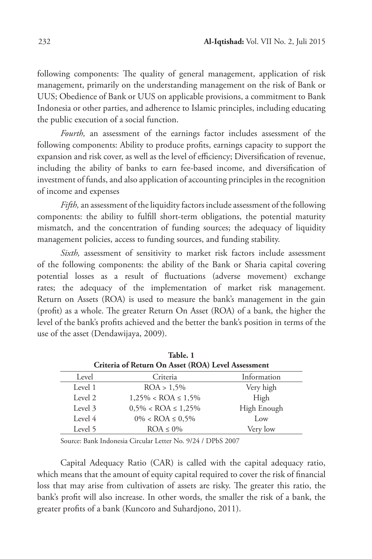following components: The quality of general management, application of risk management, primarily on the understanding management on the risk of Bank or UUS; Obedience of Bank or UUS on applicable provisions, a commitment to Bank Indonesia or other parties, and adherence to Islamic principles, including educating the public execution of a social function.

*Fourth,* an assessment of the earnings factor includes assessment of the following components: Ability to produce profits, earnings capacity to support the expansion and risk cover, as well as the level of efficiency; Diversification of revenue, including the ability of banks to earn fee-based income, and diversification of investment of funds, and also application of accounting principles in the recognition of income and expenses

*Fifth,* an assessment of the liquidity factors include assessment of the following components: the ability to fulfill short-term obligations, the potential maturity mismatch, and the concentration of funding sources; the adequacy of liquidity management policies, access to funding sources, and funding stability.

*Sixth,* assessment of sensitivity to market risk factors include assessment of the following components: the ability of the Bank or Sharia capital covering potential losses as a result of fluctuations (adverse movement) exchange rates; the adequacy of the implementation of market risk management. Return on Assets (ROA) is used to measure the bank's management in the gain (profit) as a whole. The greater Return On Asset (ROA) of a bank, the higher the level of the bank's profits achieved and the better the bank's position in terms of the use of the asset (Dendawijaya, 2009).

| Table. 1                                           |                             |             |  |  |
|----------------------------------------------------|-----------------------------|-------------|--|--|
| Criteria of Return On Asset (ROA) Level Assessment |                             |             |  |  |
| Level                                              | Criteria                    | Information |  |  |
| Level 1                                            | ROA > 1,5%                  | Very high   |  |  |
| Level 2                                            | $1,25\% <$ ROA $\leq 1,5\%$ | High        |  |  |
| Level 3                                            | $0,5\% <$ ROA $\leq 1,25\%$ | High Enough |  |  |
| Level 4                                            | $0\% <$ ROA $\leq 0.5\%$    | Low         |  |  |
| Level 5                                            | $ROA \leq 0\%$              | Very low    |  |  |

Source: Bank Indonesia Circular Letter No. 9/24 / DPbS 2007

Capital Adequacy Ratio (CAR) is called with the capital adequacy ratio, which means that the amount of equity capital required to cover the risk of financial loss that may arise from cultivation of assets are risky. The greater this ratio, the bank's profit will also increase. In other words, the smaller the risk of a bank, the greater profits of a bank (Kuncoro and Suhardjono, 2011).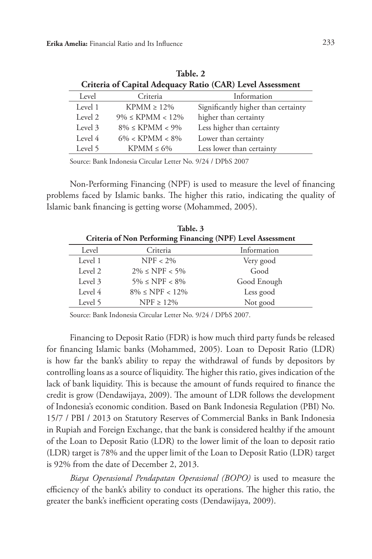| Criteria of Capital Adequacy Ratio (CAR) Level Assessment |                        |                                     |  |  |  |
|-----------------------------------------------------------|------------------------|-------------------------------------|--|--|--|
| Level                                                     | Criteria               | Information                         |  |  |  |
| Level 1                                                   | $KPMM \geq 12\%$       | Significantly higher than certainty |  |  |  |
| Level 2                                                   | $9\% \leq KPMM < 12\%$ | higher than certainty               |  |  |  |
| Level 3                                                   | $8\% \leq KPMM < 9\%$  | Less higher than certainty          |  |  |  |
| Level 4                                                   | $6\% < KPMM < 8\%$     | Lower than certainty                |  |  |  |
| Level 5                                                   | $KPMM \leq 6\%$        | Less lower than certainty           |  |  |  |
|                                                           |                        |                                     |  |  |  |

**Table. 2**

Source: Bank Indonesia Circular Letter No. 9/24 / DPbS 2007

Non-Performing Financing (NPF) is used to measure the level of financing problems faced by Islamic banks. The higher this ratio, indicating the quality of Islamic bank financing is getting worse (Mohammed, 2005).

| Table. 3                                                    |                              |             |  |  |
|-------------------------------------------------------------|------------------------------|-------------|--|--|
| Criteria of Non Performing Financing (NPF) Level Assessment |                              |             |  |  |
| Level                                                       | Criteria                     | Information |  |  |
| Level 1                                                     | $NPF < 2\%$                  | Very good   |  |  |
| Level 2                                                     | $2\% \leq \text{NPF} < 5\%$  | Good        |  |  |
| Level 3                                                     | $5\% \leq \text{NPF} < 8\%$  | Good Enough |  |  |
| Level 4                                                     | $8\% \leq \text{NPF} < 12\%$ | Less good   |  |  |
| Level 5                                                     | $NPF \geq 12\%$              | Not good    |  |  |

Source: Bank Indonesia Circular Letter No. 9/24 / DPbS 2007.

Financing to Deposit Ratio (FDR) is how much third party funds be released for financing Islamic banks (Mohammed, 2005). Loan to Deposit Ratio (LDR) is how far the bank's ability to repay the withdrawal of funds by depositors by controlling loans as a source of liquidity. The higher this ratio, gives indication of the lack of bank liquidity. This is because the amount of funds required to finance the credit is grow (Dendawijaya, 2009). The amount of LDR follows the development of Indonesia's economic condition. Based on Bank Indonesia Regulation (PBI) No. 15/7 / PBI / 2013 on Statutory Reserves of Commercial Banks in Bank Indonesia in Rupiah and Foreign Exchange, that the bank is considered healthy if the amount of the Loan to Deposit Ratio (LDR) to the lower limit of the loan to deposit ratio (LDR) target is 78% and the upper limit of the Loan to Deposit Ratio (LDR) target is 92% from the date of December 2, 2013.

*Biaya Operasional Pendapatan Operasional (BOPO)* is used to measure the efficiency of the bank's ability to conduct its operations. The higher this ratio, the greater the bank's inefficient operating costs (Dendawijaya, 2009).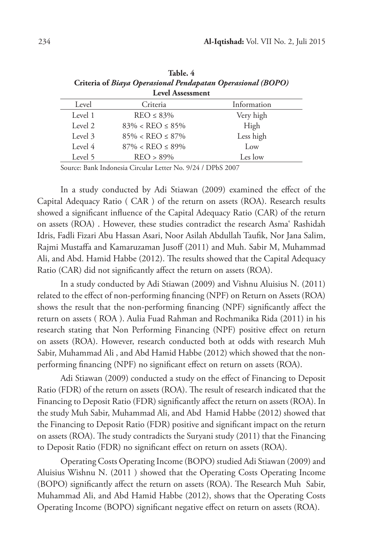| - 1<br>۰, |  |
|-----------|--|
|           |  |

| <b>Level Assessment</b> |                               |             |  |  |
|-------------------------|-------------------------------|-------------|--|--|
| Level                   | Criteria                      | Information |  |  |
| Level 1                 | $REO \leq 83\%$               | Very high   |  |  |
| Level 2                 | $83\% < \text{REO} \le 85\%$  | High        |  |  |
| Level 3                 | $85\% < \text{REO} \leq 87\%$ | Less high   |  |  |
| Level 4                 | $87\% < \text{REO} \le 89\%$  | Low         |  |  |
| Level 5                 | $REO > 89\%$                  | Les low     |  |  |

**Table. 4 Criteria of** *Biaya Operasional Pendapatan Operasional (BOPO)*

Source: Bank Indonesia Circular Letter No. 9/24 / DPbS 2007

In a study conducted by Adi Stiawan (2009) examined the effect of the Capital Adequacy Ratio ( CAR ) of the return on assets (ROA). Research results showed a significant influence of the Capital Adequacy Ratio (CAR) of the return on assets (ROA) . However, these studies contradict the research Asma' Rashidah Idris, Fadli Fizari Abu Hassan Asari, Noor Asilah Abdullah Taufik, Nor Jana Salim, Rajmi Mustaffa and Kamaruzaman Jusoff (2011) and Muh. Sabir M, Muhammad Ali, and Abd. Hamid Habbe (2012). The results showed that the Capital Adequacy Ratio (CAR) did not significantly affect the return on assets (ROA).

In a study conducted by Adi Stiawan (2009) and Vishnu Aluisius N. (2011) related to the effect of non-performing financing (NPF) on Return on Assets (ROA) shows the result that the non-performing financing (NPF) significantly affect the return on assets ( ROA ). Aulia Fuad Rahman and Rochmanika Rida (2011) in his research stating that Non Performing Financing (NPF) positive effect on return on assets (ROA). However, research conducted both at odds with research Muh Sabir, Muhammad Ali , and Abd Hamid Habbe (2012) which showed that the nonperforming financing (NPF) no significant effect on return on assets (ROA).

Adi Stiawan (2009) conducted a study on the effect of Financing to Deposit Ratio (FDR) of the return on assets (ROA). The result of research indicated that the Financing to Deposit Ratio (FDR) significantly affect the return on assets (ROA). In the study Muh Sabir, Muhammad Ali, and Abd Hamid Habbe (2012) showed that the Financing to Deposit Ratio (FDR) positive and significant impact on the return on assets (ROA). The study contradicts the Suryani study (2011) that the Financing to Deposit Ratio (FDR) no significant effect on return on assets (ROA).

Operating Costs Operating Income (BOPO) studied Adi Stiawan (2009) and Aluisius Wishnu N. (2011 ) showed that the Operating Costs Operating Income (BOPO) significantly affect the return on assets (ROA). The Research Muh Sabir, Muhammad Ali, and Abd Hamid Habbe (2012), shows that the Operating Costs Operating Income (BOPO) significant negative effect on return on assets (ROA).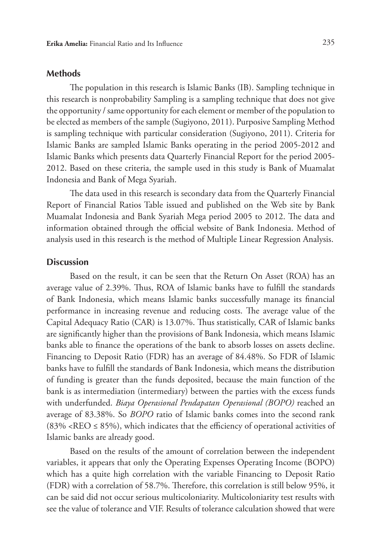#### **Methods**

The population in this research is Islamic Banks (IB). Sampling technique in this research is nonprobability Sampling is a sampling technique that does not give the opportunity / same opportunity for each element or member of the population to be elected as members of the sample (Sugiyono, 2011). Purposive Sampling Method is sampling technique with particular consideration (Sugiyono, 2011). Criteria for Islamic Banks are sampled Islamic Banks operating in the period 2005-2012 and Islamic Banks which presents data Quarterly Financial Report for the period 2005- 2012. Based on these criteria, the sample used in this study is Bank of Muamalat Indonesia and Bank of Mega Syariah.

The data used in this research is secondary data from the Quarterly Financial Report of Financial Ratios Table issued and published on the Web site by Bank Muamalat Indonesia and Bank Syariah Mega period 2005 to 2012. The data and information obtained through the official website of Bank Indonesia. Method of analysis used in this research is the method of Multiple Linear Regression Analysis.

# **Discussion**

Based on the result, it can be seen that the Return On Asset (ROA) has an average value of 2.39%. Thus, ROA of Islamic banks have to fulfill the standards of Bank Indonesia, which means Islamic banks successfully manage its financial performance in increasing revenue and reducing costs. The average value of the Capital Adequacy Ratio (CAR) is 13.07%. Thus statistically, CAR of Islamic banks are significantly higher than the provisions of Bank Indonesia, which means Islamic banks able to finance the operations of the bank to absorb losses on assets decline. Financing to Deposit Ratio (FDR) has an average of 84.48%. So FDR of Islamic banks have to fulfill the standards of Bank Indonesia, which means the distribution of funding is greater than the funds deposited, because the main function of the bank is as intermediation (intermediary) between the parties with the excess funds with underfunded. *Biaya Operasional Pendapatan Operasional (BOPO)* reached an average of 83.38%. So *BOPO* ratio of Islamic banks comes into the second rank  $(83\% \times \text{REO} \le 85\%)$ , which indicates that the efficiency of operational activities of Islamic banks are already good.

Based on the results of the amount of correlation between the independent variables, it appears that only the Operating Expenses Operating Income (BOPO) which has a quite high correlation with the variable Financing to Deposit Ratio (FDR) with a correlation of 58.7%. Therefore, this correlation is still below 95%, it can be said did not occur serious multicoloniarity. Multicoloniarity test results with see the value of tolerance and VIF. Results of tolerance calculation showed that were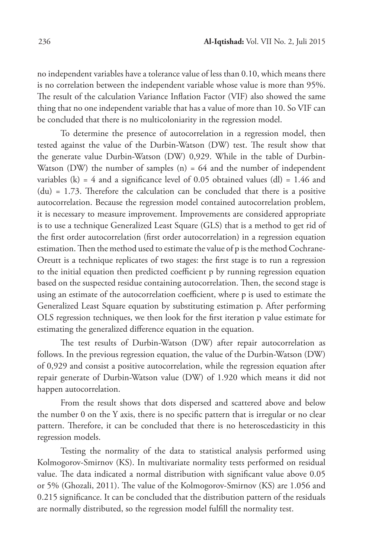no independent variables have a tolerance value of less than 0.10, which means there is no correlation between the independent variable whose value is more than 95%. The result of the calculation Variance Inflation Factor (VIF) also showed the same thing that no one independent variable that has a value of more than 10. So VIF can be concluded that there is no multicoloniarity in the regression model.

To determine the presence of autocorrelation in a regression model, then tested against the value of the Durbin-Watson (DW) test. The result show that the generate value Durbin-Watson (DW) 0,929. While in the table of Durbin-Watson (DW) the number of samples  $(n) = 64$  and the number of independent variables (k) = 4 and a significance level of 0.05 obtained values (dl) = 1.46 and  $(du) = 1.73$ . Therefore the calculation can be concluded that there is a positive autocorrelation. Because the regression model contained autocorrelation problem, it is necessary to measure improvement. Improvements are considered appropriate is to use a technique Generalized Least Square (GLS) that is a method to get rid of the first order autocorrelation (first order autocorrelation) in a regression equation estimation. Then the method used to estimate the value of p is the method Cochrane-Oreutt is a technique replicates of two stages: the first stage is to run a regression to the initial equation then predicted coefficient p by running regression equation based on the suspected residue containing autocorrelation. Then, the second stage is using an estimate of the autocorrelation coefficient, where p is used to estimate the Generalized Least Square equation by substituting estimation p. After performing OLS regression techniques, we then look for the first iteration p value estimate for estimating the generalized difference equation in the equation.

The test results of Durbin-Watson (DW) after repair autocorrelation as follows. In the previous regression equation, the value of the Durbin-Watson (DW) of 0,929 and consist a positive autocorrelation, while the regression equation after repair generate of Durbin-Watson value (DW) of 1.920 which means it did not happen autocorrelation.

From the result shows that dots dispersed and scattered above and below the number 0 on the Y axis, there is no specific pattern that is irregular or no clear pattern. Therefore, it can be concluded that there is no heteroscedasticity in this regression models.

Testing the normality of the data to statistical analysis performed using Kolmogorov-Smirnov (KS). In multivariate normality tests performed on residual value. The data indicated a normal distribution with significant value above 0.05 or 5% (Ghozali, 2011). The value of the Kolmogorov-Smirnov (KS) are 1.056 and 0.215 significance. It can be concluded that the distribution pattern of the residuals are normally distributed, so the regression model fulfill the normality test.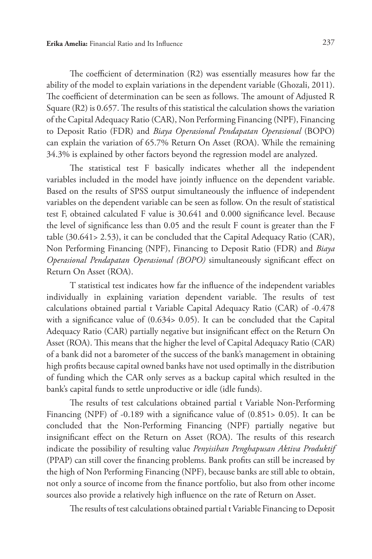The coefficient of determination (R2) was essentially measures how far the ability of the model to explain variations in the dependent variable (Ghozali, 2011). The coefficient of determination can be seen as follows. The amount of Adjusted R Square (R2) is 0.657. The results of this statistical the calculation shows the variation of the Capital Adequacy Ratio (CAR), Non Performing Financing (NPF), Financing to Deposit Ratio (FDR) and *Biaya Operasional Pendapatan Operasional* (BOPO) can explain the variation of 65.7% Return On Asset (ROA). While the remaining 34.3% is explained by other factors beyond the regression model are analyzed.

The statistical test F basically indicates whether all the independent variables included in the model have jointly influence on the dependent variable. Based on the results of SPSS output simultaneously the influence of independent variables on the dependent variable can be seen as follow. On the result of statistical test F, obtained calculated F value is 30.641 and 0.000 significance level. Because the level of significance less than 0.05 and the result F count is greater than the F table (30.641> 2.53), it can be concluded that the Capital Adequacy Ratio (CAR), Non Performing Financing (NPF), Financing to Deposit Ratio (FDR) and *Biaya Operasional Pendapatan Operasional (BOPO)* simultaneously significant effect on Return On Asset (ROA).

T statistical test indicates how far the influence of the independent variables individually in explaining variation dependent variable. The results of test calculations obtained partial t Variable Capital Adequacy Ratio (CAR) of -0.478 with a significance value of (0.634> 0.05). It can be concluded that the Capital Adequacy Ratio (CAR) partially negative but insignificant effect on the Return On Asset (ROA). This means that the higher the level of Capital Adequacy Ratio (CAR) of a bank did not a barometer of the success of the bank's management in obtaining high profits because capital owned banks have not used optimally in the distribution of funding which the CAR only serves as a backup capital which resulted in the bank's capital funds to settle unproductive or idle (idle funds).

The results of test calculations obtained partial t Variable Non-Performing Financing (NPF) of -0.189 with a significance value of (0.851> 0.05). It can be concluded that the Non-Performing Financing (NPF) partially negative but insignificant effect on the Return on Asset (ROA). The results of this research indicate the possibility of resulting value *Penyisihan Penghapusan Aktiva Produktif* (PPAP) can still cover the financing problems. Bank profits can still be increased by the high of Non Performing Financing (NPF), because banks are still able to obtain, not only a source of income from the finance portfolio, but also from other income sources also provide a relatively high influence on the rate of Return on Asset.

The results of test calculations obtained partial t Variable Financing to Deposit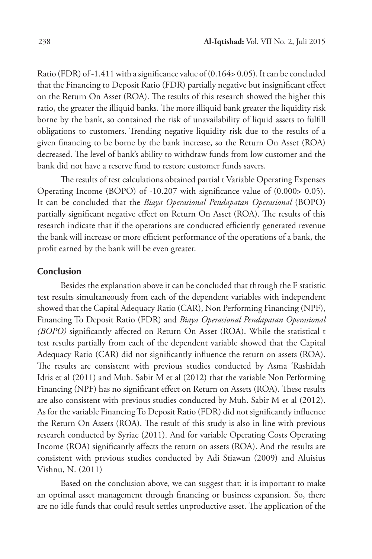Ratio (FDR) of -1.411 with a significance value of (0.164> 0.05). It can be concluded that the Financing to Deposit Ratio (FDR) partially negative but insignificant effect on the Return On Asset (ROA). The results of this research showed the higher this ratio, the greater the illiquid banks. The more illiquid bank greater the liquidity risk borne by the bank, so contained the risk of unavailability of liquid assets to fulfill obligations to customers. Trending negative liquidity risk due to the results of a given financing to be borne by the bank increase, so the Return On Asset (ROA) decreased. The level of bank's ability to withdraw funds from low customer and the bank did not have a reserve fund to restore customer funds savers.

The results of test calculations obtained partial t Variable Operating Expenses Operating Income (BOPO) of -10.207 with significance value of (0.000> 0.05). It can be concluded that the *Biaya Operasional Pendapatan Operasional* (BOPO) partially significant negative effect on Return On Asset (ROA). The results of this research indicate that if the operations are conducted efficiently generated revenue the bank will increase or more efficient performance of the operations of a bank, the profit earned by the bank will be even greater.

# **Conclusion**

Besides the explanation above it can be concluded that through the F statistic test results simultaneously from each of the dependent variables with independent showed that the Capital Adequacy Ratio (CAR), Non Performing Financing (NPF), Financing To Deposit Ratio (FDR) and *Biaya Operasional Pendapatan Operasional (BOPO)* significantly affected on Return On Asset (ROA). While the statistical t test results partially from each of the dependent variable showed that the Capital Adequacy Ratio (CAR) did not significantly influence the return on assets (ROA). The results are consistent with previous studies conducted by Asma 'Rashidah Idris et al (2011) and Muh. Sabir M et al (2012) that the variable Non Performing Financing (NPF) has no significant effect on Return on Assets (ROA). These results are also consistent with previous studies conducted by Muh. Sabir M et al (2012). As for the variable Financing To Deposit Ratio (FDR) did not significantly influence the Return On Assets (ROA). The result of this study is also in line with previous research conducted by Syriac (2011). And for variable Operating Costs Operating Income (ROA) significantly affects the return on assets (ROA). And the results are consistent with previous studies conducted by Adi Stiawan (2009) and Aluisius Vishnu, N. (2011)

Based on the conclusion above, we can suggest that: it is important to make an optimal asset management through financing or business expansion. So, there are no idle funds that could result settles unproductive asset. The application of the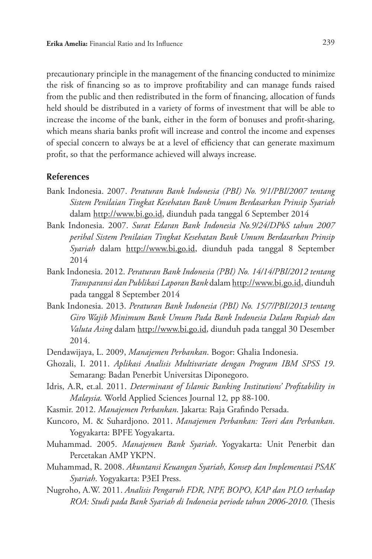precautionary principle in the management of the financing conducted to minimize the risk of financing so as to improve profitability and can manage funds raised from the public and then redistributed in the form of financing, allocation of funds held should be distributed in a variety of forms of investment that will be able to increase the income of the bank, either in the form of bonuses and profit-sharing, which means sharia banks profit will increase and control the income and expenses of special concern to always be at a level of efficiency that can generate maximum profit, so that the performance achieved will always increase.

# **References**

- Bank Indonesia. 2007. *Peraturan Bank Indonesia (PBI) No. 9/1/PBI/2007 tentang Sistem Penilaian Tingkat Kesehatan Bank Umum Berdasarkan Prinsip Syariah*  dalam http://www.bi.go.id, diunduh pada tanggal 6 September 2014
- Bank Indonesia. 2007. *Surat Edaran Bank Indonesia No.9/24/DPbS tahun 2007 perihal Sistem Penilaian Tingkat Kesehatan Bank Umum Berdasarkan Prinsip Syariah* dalam http://www.bi.go.id, diunduh pada tanggal 8 September 2014
- Bank Indonesia. 2012. *Peraturan Bank Indonesia (PBI) No. 14/14/PBI/2012 tentang Transparansi dan Publikasi Laporan Bank* dalam http://www.bi.go.id, diunduh pada tanggal 8 September 2014
- Bank Indonesia. 2013. *Peraturan Bank Indonesia (PBI) No. 15/7/PBI/2013 tentang Giro Wajib Minimum Bank Umum Pada Bank Indonesia Dalam Rupiah dan Valuta Asing* dalam http://www.bi.go.id, diunduh pada tanggal 30 Desember 2014.
- Dendawijaya, L. 2009, *Manajemen Perbankan*. Bogor: Ghalia Indonesia.
- Ghozali, I. 2011. *Aplikasi Analisis Multivariate dengan Program IBM SPSS 19*. Semarang: Badan Penerbit Universitas Diponegoro.
- Idris, A.R, et.al. 2011. *Determinant of Islamic Banking Institutions' Profitability in Malaysia.* World Applied Sciences Journal 12*,* pp 88-100.
- Kasmir. 2012. *Manajemen Perbankan*. Jakarta: Raja Grafindo Persada.
- Kuncoro, M. & Suhardjono. 2011. *Manajemen Perbankan: Teori dan Perbankan*. Yogyakarta: BPFE Yogyakarta.
- Muhammad. 2005. *Manajemen Bank Syariah*. Yogyakarta: Unit Penerbit dan Percetakan AMP YKPN.
- Muhammad, R. 2008. *Akuntansi Keuangan Syariah, Konsep dan Implementasi PSAK Syariah*. Yogyakarta: P3EI Press.
- Nugroho, A.W. 2011. *Analisis Pengaruh FDR, NPF, BOPO, KAP dan PLO terhadap ROA: Studi pada Bank Syariah di Indonesia periode tahun 2006-2010.* (Thesis